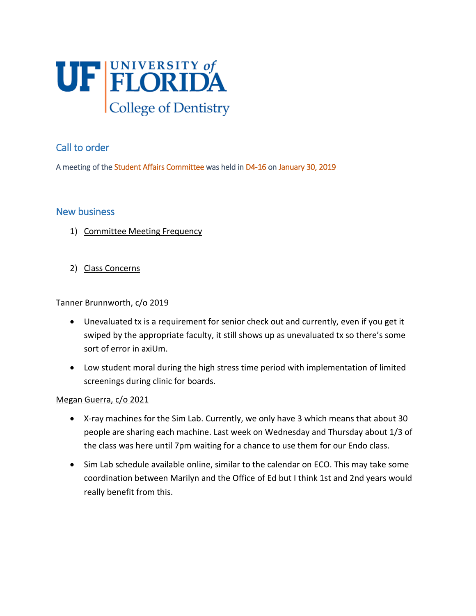

# Call to order

A meeting of the Student Affairs Committee was held in D4-16 on January 30, 2019

## New business

- 1) Committee Meeting Frequency
- 2) Class Concerns

#### Tanner Brunnworth, c/o 2019

- Unevaluated tx is a requirement for senior check out and currently, even if you get it swiped by the appropriate faculty, it still shows up as unevaluated tx so there's some sort of error in axiUm.
- Low student moral during the high stress time period with implementation of limited screenings during clinic for boards.

### Megan Guerra, c/o 2021

- X-ray machines for the Sim Lab. Currently, we only have 3 which means that about 30 people are sharing each machine. Last week on Wednesday and Thursday about 1/3 of the class was here until 7pm waiting for a chance to use them for our Endo class.
- Sim Lab schedule available online, similar to the calendar on ECO. This may take some coordination between Marilyn and the Office of Ed but I think 1st and 2nd years would really benefit from this.